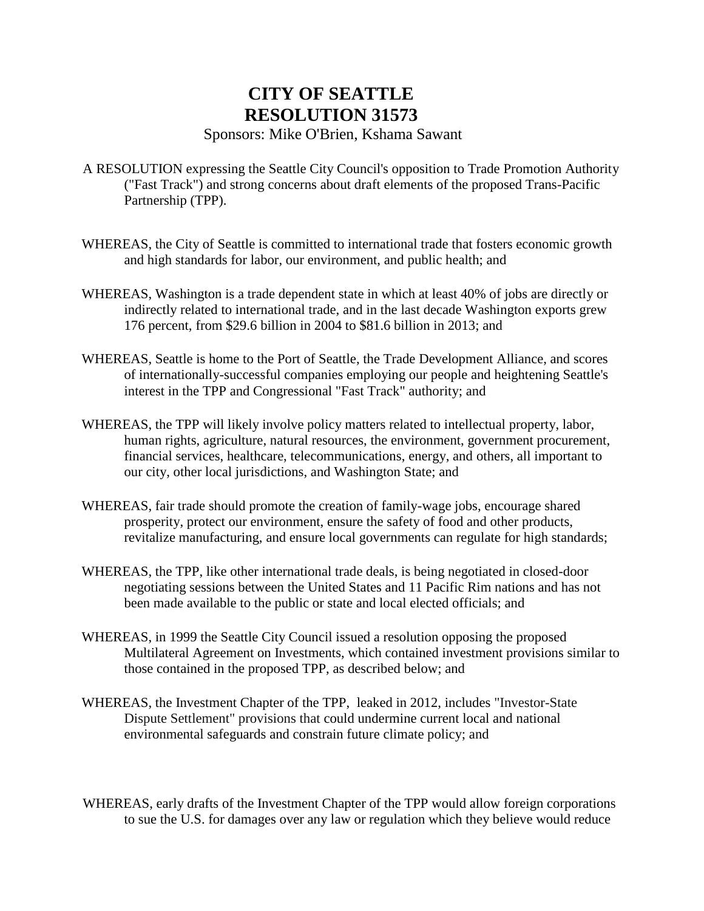## **CITY OF SEATTLE RESOLUTION 31573**

## Sponsors: Mike O'Brien, Kshama Sawant

- A RESOLUTION expressing the Seattle City Council's opposition to Trade Promotion Authority ("Fast Track") and strong concerns about draft elements of the proposed Trans-Pacific Partnership (TPP).
- WHEREAS, the City of Seattle is committed to international trade that fosters economic growth and high standards for labor, our environment, and public health; and
- WHEREAS, Washington is a trade dependent state in which at least 40% of jobs are directly or indirectly related to international trade, and in the last decade Washington exports grew 176 percent, from \$29.6 billion in 2004 to \$81.6 billion in 2013; and
- WHEREAS, Seattle is home to the Port of Seattle, the Trade Development Alliance, and scores of internationally-successful companies employing our people and heightening Seattle's interest in the TPP and Congressional "Fast Track" authority; and
- WHEREAS, the TPP will likely involve policy matters related to intellectual property, labor, human rights, agriculture, natural resources, the environment, government procurement, financial services, healthcare, telecommunications, energy, and others, all important to our city, other local jurisdictions, and Washington State; and
- WHEREAS, fair trade should promote the creation of family-wage jobs, encourage shared prosperity, protect our environment, ensure the safety of food and other products, revitalize manufacturing, and ensure local governments can regulate for high standards;
- WHEREAS, the TPP, like other international trade deals, is being negotiated in closed-door negotiating sessions between the United States and 11 Pacific Rim nations and has not been made available to the public or state and local elected officials; and
- WHEREAS, in 1999 the Seattle City Council issued a resolution opposing the proposed Multilateral Agreement on Investments, which contained investment provisions similar to those contained in the proposed TPP, as described below; and
- WHEREAS, the Investment Chapter of the TPP, leaked in 2012, includes "Investor-State Dispute Settlement" provisions that could undermine current local and national environmental safeguards and constrain future climate policy; and
- WHEREAS, early drafts of the Investment Chapter of the TPP would allow foreign corporations to sue the U.S. for damages over any law or regulation which they believe would reduce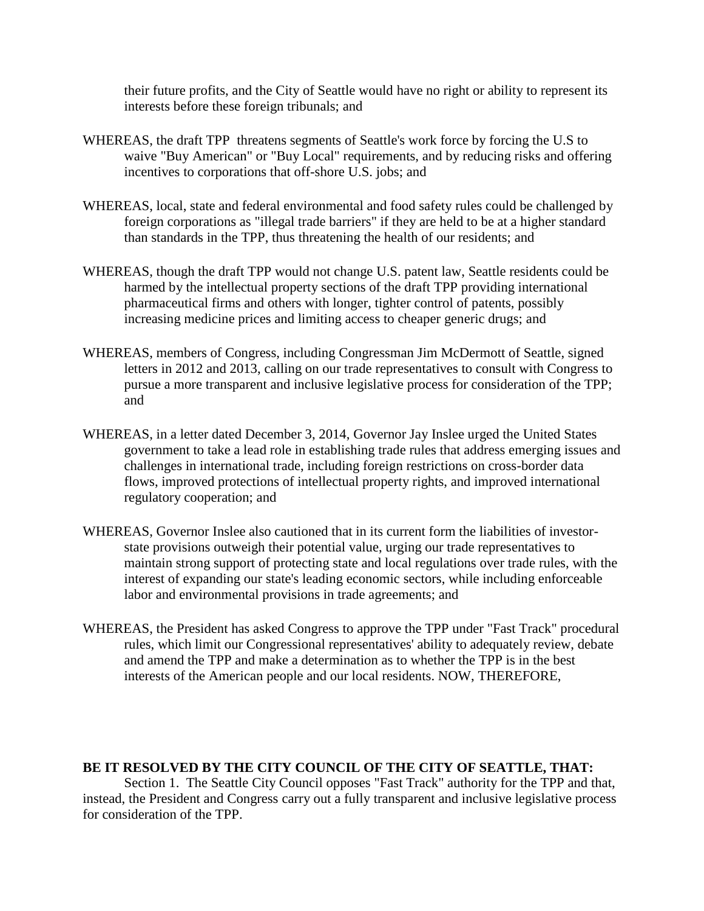their future profits, and the City of Seattle would have no right or ability to represent its interests before these foreign tribunals; and

- WHEREAS, the draft TPP threatens segments of Seattle's work force by forcing the U.S to waive "Buy American" or "Buy Local" requirements, and by reducing risks and offering incentives to corporations that off-shore U.S. jobs; and
- WHEREAS, local, state and federal environmental and food safety rules could be challenged by foreign corporations as "illegal trade barriers" if they are held to be at a higher standard than standards in the TPP, thus threatening the health of our residents; and
- WHEREAS, though the draft TPP would not change U.S. patent law, Seattle residents could be harmed by the intellectual property sections of the draft TPP providing international pharmaceutical firms and others with longer, tighter control of patents, possibly increasing medicine prices and limiting access to cheaper generic drugs; and
- WHEREAS, members of Congress, including Congressman Jim McDermott of Seattle, signed letters in 2012 and 2013, calling on our trade representatives to consult with Congress to pursue a more transparent and inclusive legislative process for consideration of the TPP; and
- WHEREAS, in a letter dated December 3, 2014, Governor Jay Inslee urged the United States government to take a lead role in establishing trade rules that address emerging issues and challenges in international trade, including foreign restrictions on cross-border data flows, improved protections of intellectual property rights, and improved international regulatory cooperation; and
- WHEREAS, Governor Inslee also cautioned that in its current form the liabilities of investorstate provisions outweigh their potential value, urging our trade representatives to maintain strong support of protecting state and local regulations over trade rules, with the interest of expanding our state's leading economic sectors, while including enforceable labor and environmental provisions in trade agreements; and
- WHEREAS, the President has asked Congress to approve the TPP under "Fast Track" procedural rules, which limit our Congressional representatives' ability to adequately review, debate and amend the TPP and make a determination as to whether the TPP is in the best interests of the American people and our local residents. NOW, THEREFORE,

## **BE IT RESOLVED BY THE CITY COUNCIL OF THE CITY OF SEATTLE, THAT:**

Section 1. The Seattle City Council opposes "Fast Track" authority for the TPP and that, instead, the President and Congress carry out a fully transparent and inclusive legislative process for consideration of the TPP.